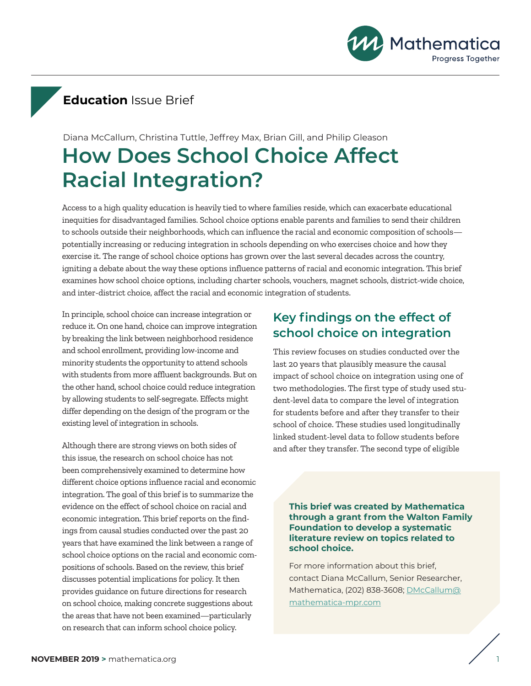

# **Education** Issue Brief

# **How Does School Choice Affect Racial Integration?** Diana McCallum, Christina Tuttle, Jeffrey Max, Brian Gill, and Philip Gleason

Access to a high quality education is heavily tied to where families reside, which can exacerbate educational inequities for disadvantaged families. School choice options enable parents and families to send their children to schools outside their neighborhoods, which can influence the racial and economic composition of schools potentially increasing or reducing integration in schools depending on who exercises choice and how they exercise it. The range of school choice options has grown over the last several decades across the country, igniting a debate about the way these options influence patterns of racial and economic integration. This brief examines how school choice options, including charter schools, vouchers, magnet schools, district-wide choice, and inter-district choice, affect the racial and economic integration of students.

In principle, school choice can increase integration or reduce it. On one hand, choice can improve integration by breaking the link between neighborhood residence and school enrollment, providing low-income and minority students the opportunity to attend schools with students from more affluent backgrounds. But on the other hand, school choice could reduce integration by allowing students to self-segregate. Effects might differ depending on the design of the program or the existing level of integration in schools.

Although there are strong views on both sides of this issue, the research on school choice has not been comprehensively examined to determine how different choice options influence racial and economic integration. The goal of this brief is to summarize the evidence on the effect of school choice on racial and economic integration. This brief reports on the findings from causal studies conducted over the past 20 years that have examined the link between a range of school choice options on the racial and economic compositions of schools. Based on the review, this brief discusses potential implications for policy. It then provides guidance on future directions for research on school choice, making concrete suggestions about the areas that have not been examined—particularly on research that can inform school choice policy.

## **Key findings on the effect of school choice on integration**

This review focuses on studies conducted over the last 20 years that plausibly measure the causal impact of school choice on integration using one of two methodologies. The first type of study used student-level data to compare the level of integration for students before and after they transfer to their school of choice. These studies used longitudinally linked student-level data to follow students before and after they transfer. The second type of eligible

**This brief was created by Mathematica through a grant from the Walton Family Foundation to develop a systematic literature review on topics related to school choice.**

For more information about this brief, contact Diana McCallum, Senior Researcher, Mathematica, (202) 838-3608; [DMcCallum@](mailto:DMcCallum@mathematica-mpr.com) [mathematica-mpr.com](mailto:DMcCallum@mathematica-mpr.com)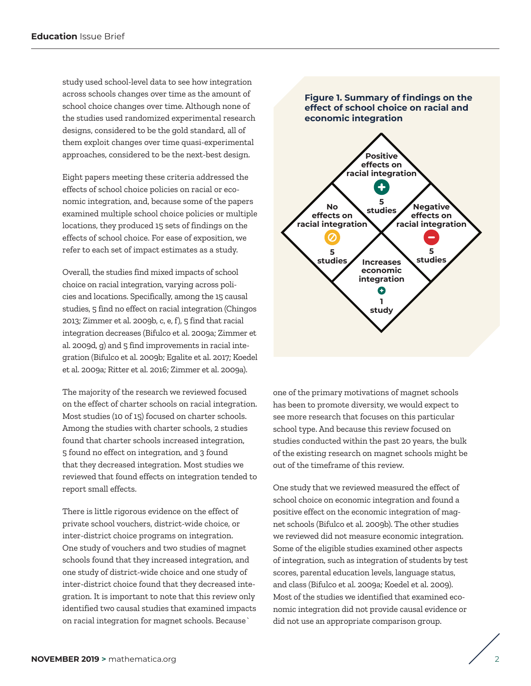study used school-level data to see how integration across schools changes over time as the amount of school choice changes over time. Although none of the studies used randomized experimental research designs, considered to be the gold standard, all of them exploit changes over time quasi-experimental approaches, considered to be the next-best design.

Eight papers meeting these criteria addressed the effects of school choice policies on racial or economic integration, and, because some of the papers examined multiple school choice policies or multiple locations, they produced 15 sets of findings on the effects of school choice. For ease of exposition, we refer to each set of impact estimates as a study.

Overall, the studies find mixed impacts of school choice on racial integration, varying across policies and locations. Specifically, among the 15 causal studies, 5 find no effect on racial integration (Chingos 2013; Zimmer et al. 2009b, c, e, f), 5 find that racial integration decreases (Bifulco et al. 2009a; Zimmer et al. 2009d, g) and 5 find improvements in racial integration (Bifulco et al. 2009b; Egalite et al. 2017; Koedel et al. 2009a; Ritter et al. 2016; Zimmer et al. 2009a).

The majority of the research we reviewed focused on the effect of charter schools on racial integration. Most studies (10 of 15) focused on charter schools. Among the studies with charter schools, 2 studies found that charter schools increased integration, 5 found no effect on integration, and 3 found that they decreased integration. Most studies we reviewed that found effects on integration tended to report small effects.

There is little rigorous evidence on the effect of private school vouchers, district-wide choice, or inter-district choice programs on integration. One study of vouchers and two studies of magnet schools found that they increased integration, and one study of district-wide choice and one study of inter-district choice found that they decreased integration. It is important to note that this review only identified two causal studies that examined impacts on racial integration for magnet schools. Because`



one of the primary motivations of magnet schools has been to promote diversity, we would expect to see more research that focuses on this particular school type. And because this review focused on studies conducted within the past 20 years, the bulk of the existing research on magnet schools might be out of the timeframe of this review.

One study that we reviewed measured the effect of school choice on economic integration and found a positive effect on the economic integration of magnet schools (Bifulco et al. 2009b). The other studies we reviewed did not measure economic integration. Some of the eligible studies examined other aspects of integration, such as integration of students by test scores, parental education levels, language status, and class (Bifulco et al. 2009a; Koedel et al. 2009). Most of the studies we identified that examined economic integration did not provide causal evidence or did not use an appropriate comparison group.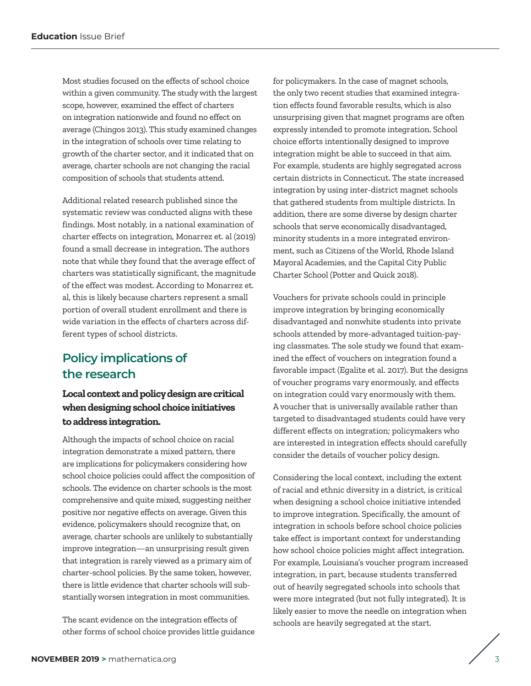Most studies focused on the effects of school choice within a given community. The study with the largest scope, however, examined the effect of charters on integration nationwide and found no effect on average (Chingos 2013). This study examined changes in the integration of schools over time relating to growth of the charter sector, and it indicated that on average, charter schools are not changing the racial composition of schools that students attend.

Additional related research published since the systematic review was conducted aligns with these findings. Most notably, in a national examination of charter effects on integration, Monarrez et. al (2019) found a small decrease in integration. The authors note that while they found that the average effect of charters was statistically significant, the magnitude of the effect was modest. According to Monarrez et. al, this is likely because charters represent a small portion of overall student enrollment and there is wide variation in the effects of charters across different types of school districts.

## **Policy implications of the research**

## **Local context and policy design are critical when designing school choice initiatives to address integration.**

Although the impacts of school choice on racial integration demonstrate a mixed pattern, there are implications for policymakers considering how school choice policies could affect the composition of schools. The evidence on charter schools is the most comprehensive and quite mixed, suggesting neither positive nor negative effects on average. Given this evidence, policymakers should recognize that, on average, charter schools are unlikely to substantially improve integration—an unsurprising result given that integration is rarely viewed as a primary aim of charter-school policies. By the same token, however, there is little evidence that charter schools will substantially worsen integration in most communities.

The scant evidence on the integration effects of other forms of school choice provides little guidance for policymakers. In the case of magnet schools, the only two recent studies that examined integration effects found favorable results, which is also unsurprising given that magnet programs are often expressly intended to promote integration. School choice efforts intentionally designed to improve integration might be able to succeed in that aim. For example, students are highly segregated across certain districts in Connecticut. The state increased integration by using inter-district magnet schools that gathered students from multiple districts. In addition, there are some diverse by design charter schools that serve economically disadvantaged, minority students in a more integrated environment, such as Citizens of the World, Rhode Island Mayoral Academies, and the Capital City Public Charter School (Potter and Quick 2018).

Vouchers for private schools could in principle improve integration by bringing economically disadvantaged and nonwhite students into private schools attended by more-advantaged tuition-paying classmates. The sole study we found that examined the effect of vouchers on integration found a favorable impact (Egalite et al. 2017). But the designs of voucher programs vary enormously, and effects on integration could vary enormously with them. A voucher that is universally available rather than targeted to disadvantaged students could have very different effects on integration; policymakers who are interested in integration effects should carefully consider the details of voucher policy design.

Considering the local context, including the extent of racial and ethnic diversity in a district, is critical when designing a school choice initiative intended to improve integration. Specifically, the amount of integration in schools before school choice policies take effect is important context for understanding how school choice policies might affect integration. For example, Louisiana's voucher program increased integration, in part, because students transferred out of heavily segregated schools into schools that were more integrated (but not fully integrated). It is likely easier to move the needle on integration when schools are heavily segregated at the start.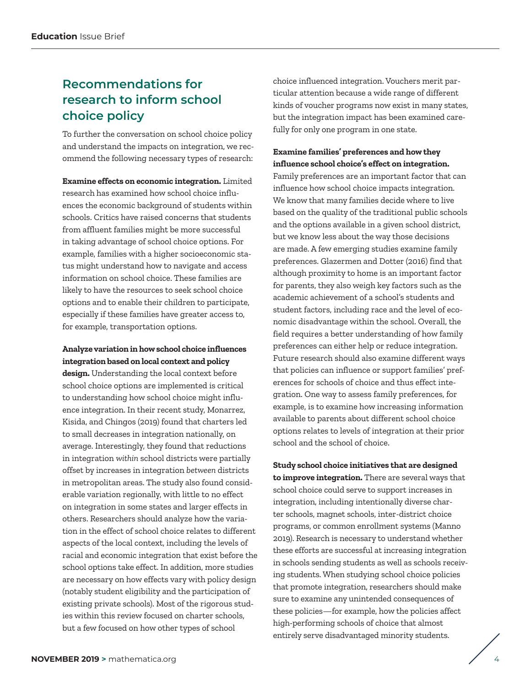## **Recommendations for research to inform school choice policy**

To further the conversation on school choice policy and understand the impacts on integration, we recommend the following necessary types of research:

**Examine effects on economic integration.** Limited research has examined how school choice influences the economic background of students within schools. Critics have raised concerns that students from affluent families might be more successful in taking advantage of school choice options. For example, families with a higher socioeconomic status might understand how to navigate and access information on school choice. These families are likely to have the resources to seek school choice options and to enable their children to participate, especially if these families have greater access to, for example, transportation options.

#### **Analyze variation in how school choice influences integration based on local context and policy**

**design.** Understanding the local context before school choice options are implemented is critical to understanding how school choice might influence integration. In their recent study, Monarrez, Kisida, and Chingos (2019) found that charters led to small decreases in integration nationally, on average. Interestingly, they found that reductions in integration *within* school districts were partially offset by increases in integration *between* districts in metropolitan areas. The study also found considerable variation regionally, with little to no effect on integration in some states and larger effects in others. Researchers should analyze how the variation in the effect of school choice relates to different aspects of the local context, including the levels of racial and economic integration that exist before the school options take effect. In addition, more studies are necessary on how effects vary with policy design (notably student eligibility and the participation of existing private schools). Most of the rigorous studies within this review focused on charter schools, but a few focused on how other types of school

choice influenced integration. Vouchers merit particular attention because a wide range of different kinds of voucher programs now exist in many states, but the integration impact has been examined carefully for only one program in one state.

#### **Examine families' preferences and how they influence school choice's effect on integration.**

Family preferences are an important factor that can influence how school choice impacts integration. We know that many families decide where to live based on the quality of the traditional public schools and the options available in a given school district, but we know less about the way those decisions are made. A few emerging studies examine family preferences. Glazermen and Dotter (2016) find that although proximity to home is an important factor for parents, they also weigh key factors such as the academic achievement of a school's students and student factors, including race and the level of economic disadvantage within the school. Overall, the field requires a better understanding of how family preferences can either help or reduce integration. Future research should also examine different ways that policies can influence or support families' preferences for schools of choice and thus effect integration. One way to assess family preferences, for example, is to examine how increasing information available to parents about different school choice options relates to levels of integration at their prior school and the school of choice.

**Study school choice initiatives that are designed to improve integration.** There are several ways that school choice could serve to support increases in integration, including intentionally diverse charter schools, magnet schools, inter-district choice programs, or common enrollment systems (Manno 2019). Research is necessary to understand whether these efforts are successful at increasing integration in schools sending students as well as schools receiving students. When studying school choice policies that promote integration, researchers should make sure to examine any unintended consequences of these policies—for example, how the policies affect high-performing schools of choice that almost entirely serve disadvantaged minority students.